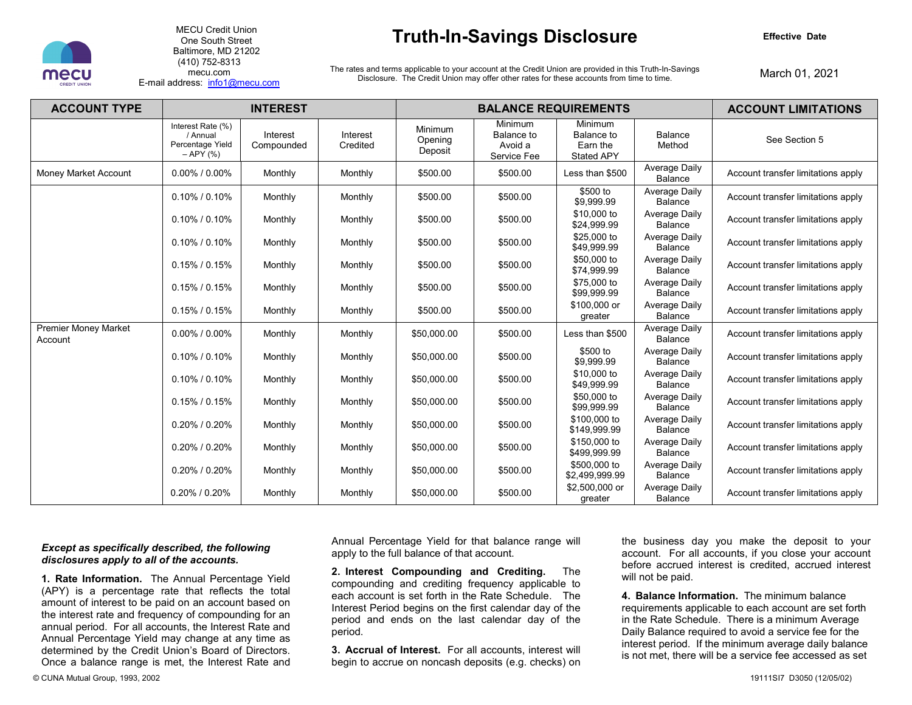

MECU Credit Union One South Street Baltimore, MD 21202 (410) 752-8313 mecu.com E-mail address: [info1@mecu.com](mailto:info1@mecu.com) 

### **Truth-In-Savings Disclosure**

**Effective Date** 

The rates and terms applicable to your account at the Credit Union are provided in this Truth-In-Savings Disclosure. The Credit Union may offer other rates for these accounts from time to time.

March 01, 2021

| <b>ACCOUNT TYPE</b>                    | <b>INTEREST</b>                                                     |                        |                      | <b>BALANCE REQUIREMENTS</b>   |                                                 |                                                        |                                 | <b>ACCOUNT LIMITATIONS</b>         |
|----------------------------------------|---------------------------------------------------------------------|------------------------|----------------------|-------------------------------|-------------------------------------------------|--------------------------------------------------------|---------------------------------|------------------------------------|
|                                        | Interest Rate (%)<br>/ Annual<br>Percentage Yield<br>$-$ APY $(% )$ | Interest<br>Compounded | Interest<br>Credited | Minimum<br>Opening<br>Deposit | Minimum<br>Balance to<br>Avoid a<br>Service Fee | Minimum<br>Balance to<br>Earn the<br><b>Stated APY</b> | Balance<br>Method               | See Section 5                      |
| Money Market Account                   | $0.00\%$ / $0.00\%$                                                 | Monthly                | Monthly              | \$500.00                      | \$500.00                                        | Less than \$500                                        | Average Daily<br>Balance        | Account transfer limitations apply |
|                                        | 0.10% / 0.10%                                                       | Monthly                | Monthly              | \$500.00                      | \$500.00                                        | \$500 to<br>\$9,999.99                                 | Average Daily<br><b>Balance</b> | Account transfer limitations apply |
|                                        | $0.10\%$ / 0.10%                                                    | Monthly                | Monthly              | \$500.00                      | \$500.00                                        | \$10,000 to<br>\$24,999.99                             | Average Daily<br>Balance        | Account transfer limitations apply |
|                                        | $0.10\%$ / 0.10%                                                    | Monthly                | Monthly              | \$500.00                      | \$500.00                                        | \$25,000 to<br>\$49,999.99                             | Average Daily<br>Balance        | Account transfer limitations apply |
|                                        | $0.15\%$ / 0.15%                                                    | Monthly                | Monthly              | \$500.00                      | \$500.00                                        | \$50,000 to<br>\$74,999.99                             | Average Daily<br><b>Balance</b> | Account transfer limitations apply |
|                                        | $0.15\%$ / 0.15%                                                    | Monthly                | Monthly              | \$500.00                      | \$500.00                                        | \$75,000 to<br>\$99,999.99                             | Average Daily<br>Balance        | Account transfer limitations apply |
|                                        | $0.15\%$ / 0.15%                                                    | Monthly                | Monthly              | \$500.00                      | \$500.00                                        | \$100,000 or<br>greater                                | Average Daily<br><b>Balance</b> | Account transfer limitations apply |
| <b>Premier Money Market</b><br>Account | $0.00\%$ / $0.00\%$                                                 | Monthly                | Monthly              | \$50,000.00                   | \$500.00                                        | Less than \$500                                        | Average Daily<br><b>Balance</b> | Account transfer limitations apply |
|                                        | $0.10\%$ / 0.10%                                                    | Monthly                | Monthly              | \$50,000.00                   | \$500.00                                        | \$500 to<br>\$9.999.99                                 | Average Daily<br><b>Balance</b> | Account transfer limitations apply |
|                                        | $0.10\%$ / 0.10%                                                    | Monthly                | Monthly              | \$50,000.00                   | \$500.00                                        | \$10,000 to<br>\$49,999.99                             | Average Daily<br><b>Balance</b> | Account transfer limitations apply |
|                                        | $0.15\%$ / $0.15\%$                                                 | Monthly                | Monthly              | \$50,000.00                   | \$500.00                                        | \$50,000 to<br>\$99,999.99                             | Average Daily<br><b>Balance</b> | Account transfer limitations apply |
|                                        | $0.20\%$ / $0.20\%$                                                 | Monthly                | Monthly              | \$50,000.00                   | \$500.00                                        | \$100,000 to<br>\$149,999.99                           | Average Daily<br>Balance        | Account transfer limitations apply |
|                                        | 0.20% / 0.20%                                                       | Monthly                | Monthly              | \$50,000.00                   | \$500.00                                        | \$150,000 to<br>\$499,999.99                           | Average Daily<br>Balance        | Account transfer limitations apply |
|                                        | $0.20\%$ / $0.20\%$                                                 | Monthly                | Monthly              | \$50,000.00                   | \$500.00                                        | \$500,000 to<br>\$2,499,999.99                         | Average Daily<br>Balance        | Account transfer limitations apply |
|                                        | $0.20\%$ / $0.20\%$                                                 | Monthly                | Monthly              | \$50,000.00                   | \$500.00                                        | \$2,500,000 or<br>greater                              | Average Daily<br>Balance        | Account transfer limitations apply |

### *Except as specifically described, the following disclosures apply to all of the accounts.*

**1. Rate Information.** The Annual Percentage Yield (APY) is a percentage rate that reflects the total amount of interest to be paid on an account based on the interest rate and frequency of compounding for an annual period. For all accounts, the Interest Rate and Annual Percentage Yield may change at any time as determined by the Credit Union's Board of Directors. Once a balance range is met, the Interest Rate and

Annual Percentage Yield for that balance range will apply to the full balance of that account.

**2. Interest Compounding and Crediting.** The compounding and crediting frequency applicable to each account is set forth in the Rate Schedule. The Interest Period begins on the first calendar day of the period and ends on the last calendar day of the period.

**3. Accrual of Interest.** For all accounts, interest will begin to accrue on noncash deposits (e.g. checks) on the business day you make the deposit to your account. For all accounts, if you close your account before accrued interest is credited, accrued interest will not be paid.

**4. Balance Information.** The minimum balance requirements applicable to each account are set forth in the Rate Schedule. There is a minimum Average Daily Balance required to avoid a service fee for the interest period. If the minimum average daily balance is not met, there will be a service fee accessed as set